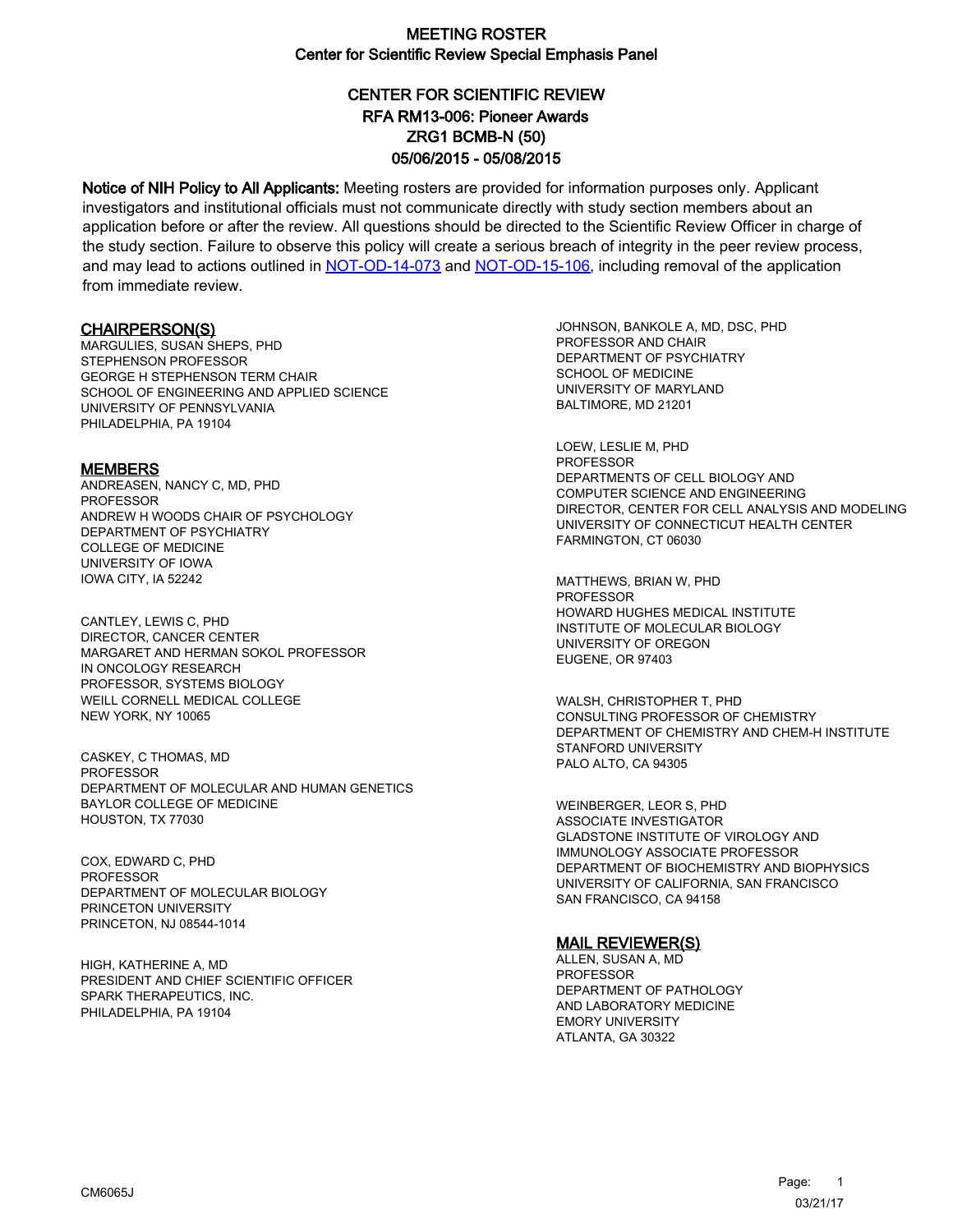# CENTER FOR SCIENTIFIC REVIEW ZRG1 BCMB-N (50) 05/06/2015 - 05/08/2015 RFA RM13-006: Pioneer Awards

Notice of NIH Policy to All Applicants: Meeting rosters are provided for information purposes only. Applicant investigators and institutional officials must not communicate directly with study section members about an application before or after the review. All questions should be directed to the Scientific Review Officer in charge of the study section. Failure to observe this policy will create a serious breach of integrity in the peer review process, and may lead to actions outlined in [NOT-OD-14-073](https://grants.nih.gov/grants/guide/notice-files/NOT-OD-14-073.html) and [NOT-OD-15-106,](https://grants.nih.gov/grants/guide/notice-files/NOT-OD-15-106.html) including removal of the application from immediate review.

#### CHAIRPERSON(S)

MARGULIES, SUSAN SHEPS, PHD STEPHENSON PROFESSOR GEORGE H STEPHENSON TERM CHAIR SCHOOL OF ENGINEERING AND APPLIED SCIENCE UNIVERSITY OF PENNSYLVANIA PHILADELPHIA, PA 19104

#### **MEMBERS**

ANDREASEN, NANCY C, MD, PHD PROFESSOR ANDREW H WOODS CHAIR OF PSYCHOLOGY DEPARTMENT OF PSYCHIATRY COLLEGE OF MEDICINE UNIVERSITY OF IOWA IOWA CITY, IA 52242

CANTLEY, LEWIS C, PHD DIRECTOR, CANCER CENTER MARGARET AND HERMAN SOKOL PROFESSOR IN ONCOLOGY RESEARCH PROFESSOR, SYSTEMS BIOLOGY WEILL CORNELL MEDICAL COLLEGE NEW YORK, NY 10065

CASKEY, C THOMAS, MD PROFESSOR DEPARTMENT OF MOLECULAR AND HUMAN GENETICS BAYLOR COLLEGE OF MEDICINE HOUSTON, TX 77030

COX, EDWARD C, PHD PROFESSOR DEPARTMENT OF MOLECULAR BIOLOGY PRINCETON UNIVERSITY PRINCETON, NJ 08544-1014

HIGH, KATHERINE A, MD PRESIDENT AND CHIEF SCIENTIFIC OFFICER SPARK THERAPEUTICS, INC. PHILADELPHIA, PA 19104

JOHNSON, BANKOLE A, MD, DSC, PHD PROFESSOR AND CHAIR DEPARTMENT OF PSYCHIATRY SCHOOL OF MEDICINE UNIVERSITY OF MARYLAND BALTIMORE, MD 21201

LOEW, LESLIE M, PHD PROFESSOR DEPARTMENTS OF CELL BIOLOGY AND COMPUTER SCIENCE AND ENGINEERING DIRECTOR, CENTER FOR CELL ANALYSIS AND MODELING UNIVERSITY OF CONNECTICUT HEALTH CENTER FARMINGTON, CT 06030

MATTHEWS, BRIAN W, PHD **PROFESSOR** HOWARD HUGHES MEDICAL INSTITUTE INSTITUTE OF MOLECULAR BIOLOGY UNIVERSITY OF OREGON EUGENE, OR 97403

WALSH, CHRISTOPHER T, PHD CONSULTING PROFESSOR OF CHEMISTRY DEPARTMENT OF CHEMISTRY AND CHEM-H INSTITUTE STANFORD UNIVERSITY PALO ALTO, CA 94305

WEINBERGER, LEOR S, PHD ASSOCIATE INVESTIGATOR GLADSTONE INSTITUTE OF VIROLOGY AND IMMUNOLOGY ASSOCIATE PROFESSOR DEPARTMENT OF BIOCHEMISTRY AND BIOPHYSICS UNIVERSITY OF CALIFORNIA, SAN FRANCISCO SAN FRANCISCO, CA 94158

#### MAIL REVIEWER(S)

ALLEN, SUSAN A, MD PROFESSOR DEPARTMENT OF PATHOLOGY AND LABORATORY MEDICINE EMORY UNIVERSITY ATLANTA, GA 30322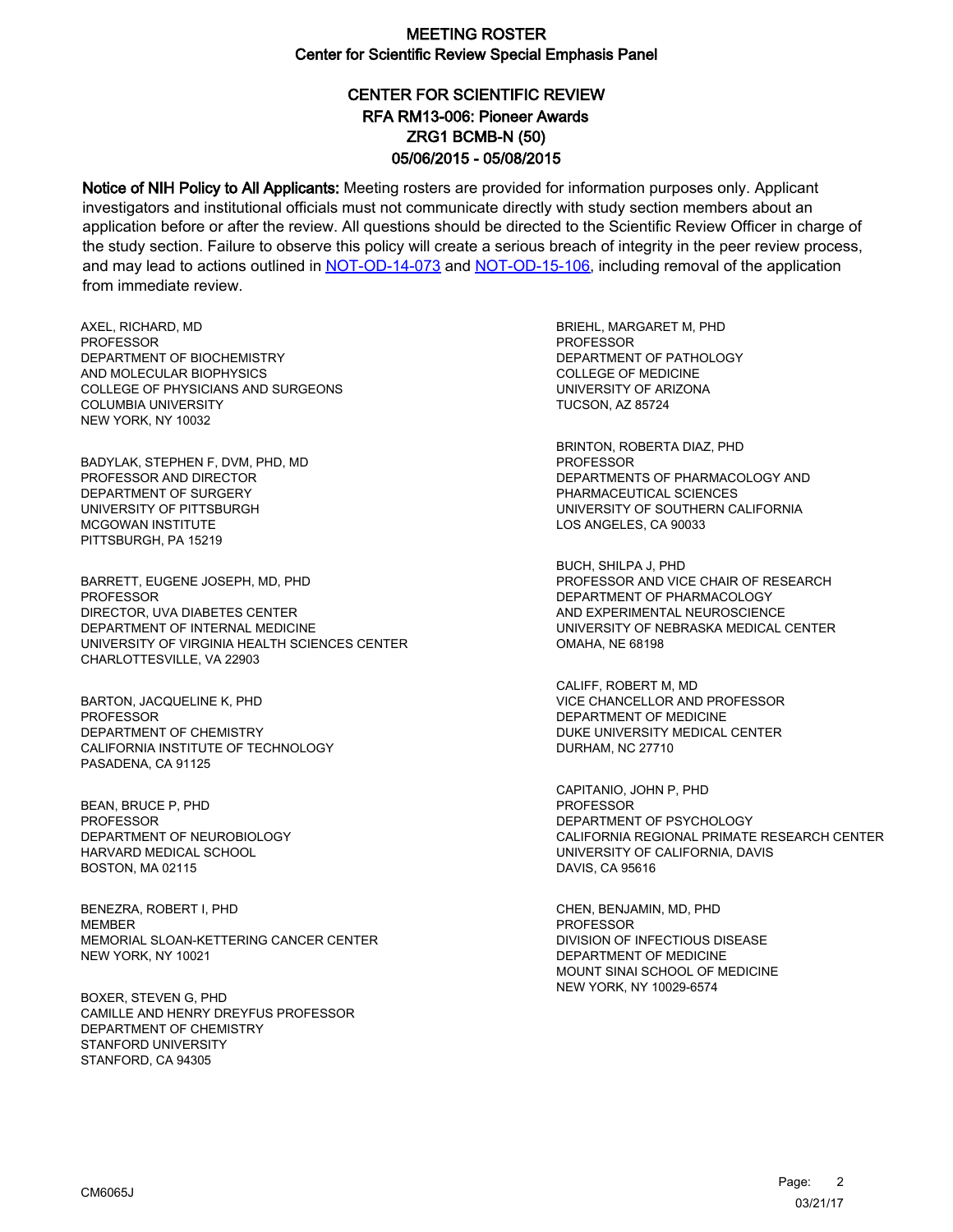# CENTER FOR SCIENTIFIC REVIEW ZRG1 BCMB-N (50) 05/06/2015 - 05/08/2015 RFA RM13-006: Pioneer Awards

Notice of NIH Policy to All Applicants: Meeting rosters are provided for information purposes only. Applicant investigators and institutional officials must not communicate directly with study section members about an application before or after the review. All questions should be directed to the Scientific Review Officer in charge of the study section. Failure to observe this policy will create a serious breach of integrity in the peer review process, and may lead to actions outlined in [NOT-OD-14-073](https://grants.nih.gov/grants/guide/notice-files/NOT-OD-14-073.html) and [NOT-OD-15-106,](https://grants.nih.gov/grants/guide/notice-files/NOT-OD-15-106.html) including removal of the application from immediate review.

AXEL, RICHARD, MD **PROFESSOR** DEPARTMENT OF BIOCHEMISTRY AND MOLECULAR BIOPHYSICS COLLEGE OF PHYSICIANS AND SURGEONS COLUMBIA UNIVERSITY NEW YORK, NY 10032

BADYLAK, STEPHEN F, DVM, PHD, MD PROFESSOR AND DIRECTOR DEPARTMENT OF SURGERY UNIVERSITY OF PITTSBURGH MCGOWAN INSTITUTE PITTSBURGH, PA 15219

BARRETT, EUGENE JOSEPH, MD, PHD PROFESSOR DIRECTOR, UVA DIABETES CENTER DEPARTMENT OF INTERNAL MEDICINE UNIVERSITY OF VIRGINIA HEALTH SCIENCES CENTER CHARLOTTESVILLE, VA 22903

BARTON, JACQUELINE K, PHD PROFESSOR DEPARTMENT OF CHEMISTRY CALIFORNIA INSTITUTE OF TECHNOLOGY PASADENA, CA 91125

BEAN, BRUCE P, PHD PROFESSOR DEPARTMENT OF NEUROBIOLOGY HARVARD MEDICAL SCHOOL BOSTON, MA 02115

BENEZRA, ROBERT I, PHD MEMBER MEMORIAL SLOAN-KETTERING CANCER CENTER NEW YORK, NY 10021

BOXER, STEVEN G, PHD CAMILLE AND HENRY DREYFUS PROFESSOR DEPARTMENT OF CHEMISTRY STANFORD UNIVERSITY STANFORD, CA 94305

BRIEHL, MARGARET M, PHD PROFESSOR DEPARTMENT OF PATHOLOGY COLLEGE OF MEDICINE UNIVERSITY OF ARIZONA TUCSON, AZ 85724

BRINTON, ROBERTA DIAZ, PHD PROFESSOR DEPARTMENTS OF PHARMACOLOGY AND PHARMACEUTICAL SCIENCES UNIVERSITY OF SOUTHERN CALIFORNIA LOS ANGELES, CA 90033

BUCH, SHILPA J, PHD PROFESSOR AND VICE CHAIR OF RESEARCH DEPARTMENT OF PHARMACOLOGY AND EXPERIMENTAL NEUROSCIENCE UNIVERSITY OF NEBRASKA MEDICAL CENTER OMAHA, NE 68198

CALIFF, ROBERT M, MD VICE CHANCELLOR AND PROFESSOR DEPARTMENT OF MEDICINE DUKE UNIVERSITY MEDICAL CENTER DURHAM, NC 27710

CAPITANIO, JOHN P, PHD PROFESSOR DEPARTMENT OF PSYCHOLOGY CALIFORNIA REGIONAL PRIMATE RESEARCH CENTER UNIVERSITY OF CALIFORNIA, DAVIS DAVIS, CA 95616

CHEN, BENJAMIN, MD, PHD PROFESSOR DIVISION OF INFECTIOUS DISEASE DEPARTMENT OF MEDICINE MOUNT SINAI SCHOOL OF MEDICINE NEW YORK, NY 10029-6574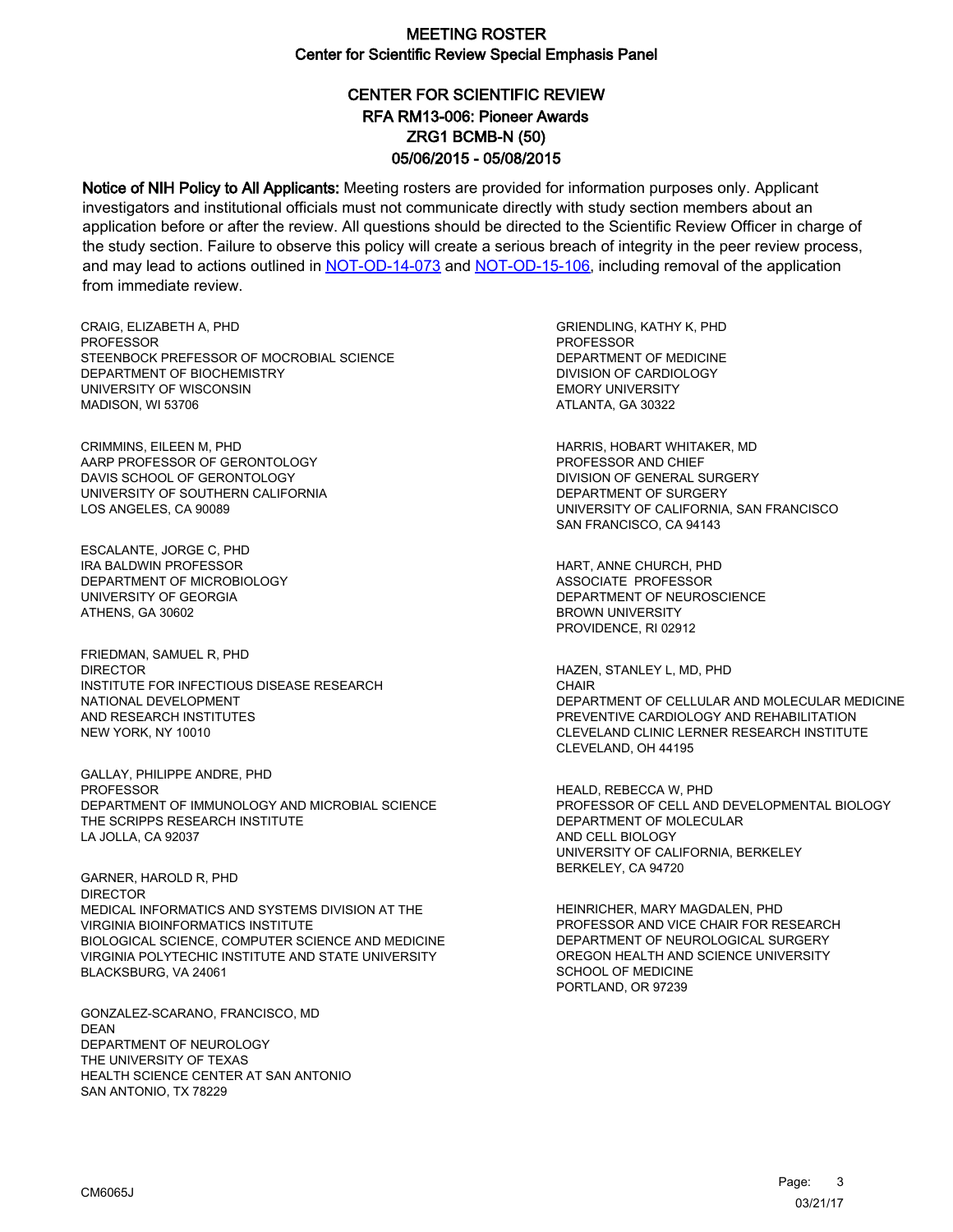# CENTER FOR SCIENTIFIC REVIEW ZRG1 BCMB-N (50) 05/06/2015 - 05/08/2015 RFA RM13-006: Pioneer Awards

Notice of NIH Policy to All Applicants: Meeting rosters are provided for information purposes only. Applicant investigators and institutional officials must not communicate directly with study section members about an application before or after the review. All questions should be directed to the Scientific Review Officer in charge of the study section. Failure to observe this policy will create a serious breach of integrity in the peer review process, and may lead to actions outlined in [NOT-OD-14-073](https://grants.nih.gov/grants/guide/notice-files/NOT-OD-14-073.html) and [NOT-OD-15-106,](https://grants.nih.gov/grants/guide/notice-files/NOT-OD-15-106.html) including removal of the application from immediate review.

CRAIG, ELIZABETH A, PHD **PROFESSOR** STEENBOCK PREFESSOR OF MOCROBIAL SCIENCE DEPARTMENT OF BIOCHEMISTRY UNIVERSITY OF WISCONSIN MADISON, WI 53706

CRIMMINS, EILEEN M, PHD AARP PROFESSOR OF GERONTOLOGY DAVIS SCHOOL OF GERONTOLOGY UNIVERSITY OF SOUTHERN CALIFORNIA LOS ANGELES, CA 90089

ESCALANTE, JORGE C, PHD IRA BALDWIN PROFESSOR DEPARTMENT OF MICROBIOLOGY UNIVERSITY OF GEORGIA ATHENS, GA 30602

FRIEDMAN, SAMUEL R, PHD DIRECTOR INSTITUTE FOR INFECTIOUS DISEASE RESEARCH NATIONAL DEVELOPMENT AND RESEARCH INSTITUTES NEW YORK, NY 10010

GALLAY, PHILIPPE ANDRE, PHD PROFESSOR DEPARTMENT OF IMMUNOLOGY AND MICROBIAL SCIENCE THE SCRIPPS RESEARCH INSTITUTE LA JOLLA, CA 92037

GARNER, HAROLD R, PHD DIRECTOR MEDICAL INFORMATICS AND SYSTEMS DIVISION AT THE VIRGINIA BIOINFORMATICS INSTITUTE BIOLOGICAL SCIENCE, COMPUTER SCIENCE AND MEDICINE VIRGINIA POLYTECHIC INSTITUTE AND STATE UNIVERSITY BLACKSBURG, VA 24061

GONZALEZ-SCARANO, FRANCISCO, MD DEAN DEPARTMENT OF NEUROLOGY THE UNIVERSITY OF TEXAS HEALTH SCIENCE CENTER AT SAN ANTONIO SAN ANTONIO, TX 78229

GRIENDLING, KATHY K, PHD PROFESSOR DEPARTMENT OF MEDICINE DIVISION OF CARDIOLOGY EMORY UNIVERSITY ATLANTA, GA 30322

HARRIS, HOBART WHITAKER, MD PROFESSOR AND CHIEF DIVISION OF GENERAL SURGERY DEPARTMENT OF SURGERY UNIVERSITY OF CALIFORNIA, SAN FRANCISCO SAN FRANCISCO, CA 94143

HART, ANNE CHURCH, PHD ASSOCIATE PROFESSOR DEPARTMENT OF NEUROSCIENCE BROWN UNIVERSITY PROVIDENCE, RI 02912

HAZEN, STANLEY L, MD, PHD **CHAIR** DEPARTMENT OF CELLULAR AND MOLECULAR MEDICINE PREVENTIVE CARDIOLOGY AND REHABILITATION CLEVELAND CLINIC LERNER RESEARCH INSTITUTE CLEVELAND, OH 44195

HEALD, REBECCA W, PHD PROFESSOR OF CELL AND DEVELOPMENTAL BIOLOGY DEPARTMENT OF MOLECULAR AND CELL BIOLOGY UNIVERSITY OF CALIFORNIA, BERKELEY BERKELEY, CA 94720

HEINRICHER, MARY MAGDALEN, PHD PROFESSOR AND VICE CHAIR FOR RESEARCH DEPARTMENT OF NEUROLOGICAL SURGERY OREGON HEALTH AND SCIENCE UNIVERSITY SCHOOL OF MEDICINE PORTLAND, OR 97239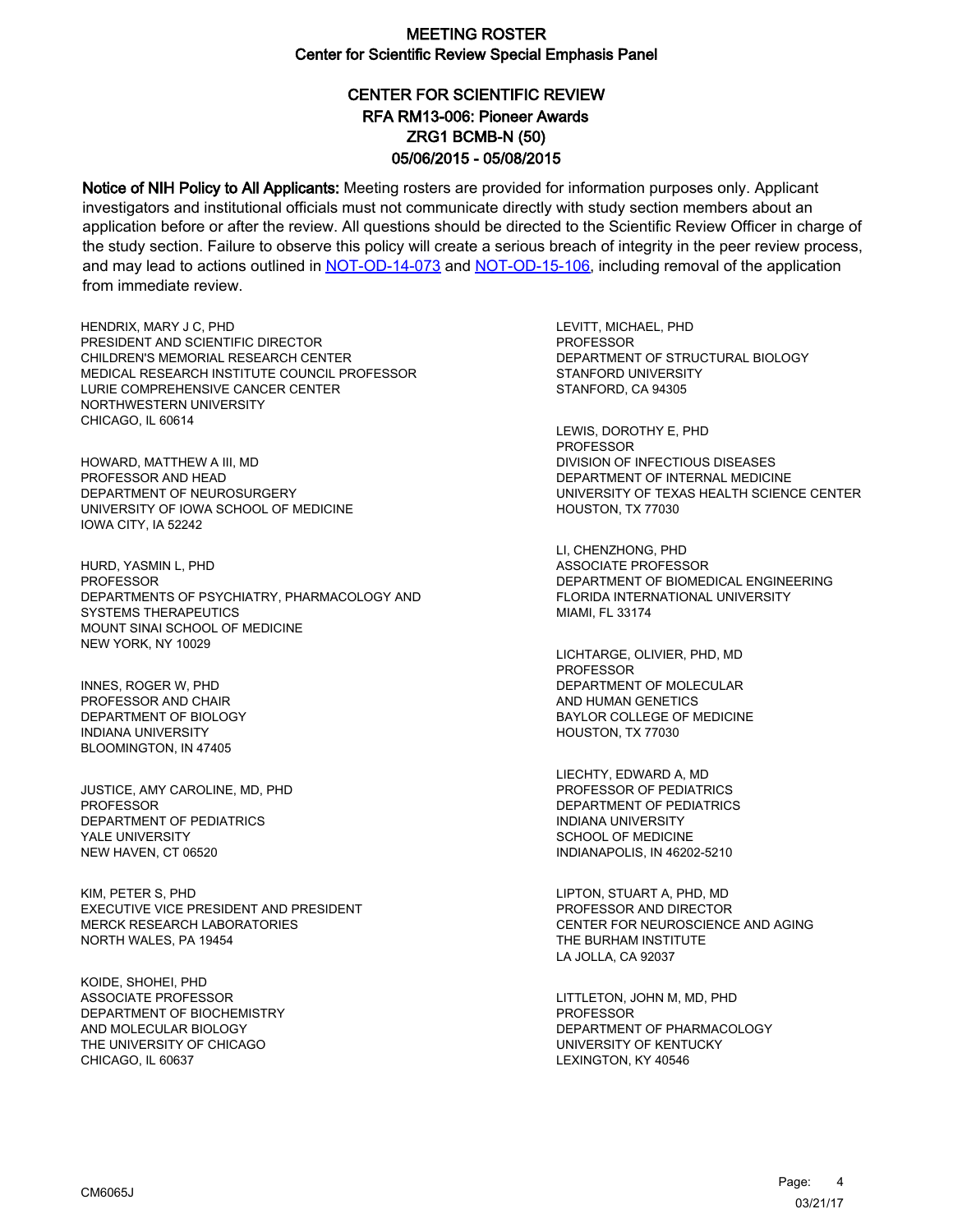# CENTER FOR SCIENTIFIC REVIEW ZRG1 BCMB-N (50) 05/06/2015 - 05/08/2015 RFA RM13-006: Pioneer Awards

Notice of NIH Policy to All Applicants: Meeting rosters are provided for information purposes only. Applicant investigators and institutional officials must not communicate directly with study section members about an application before or after the review. All questions should be directed to the Scientific Review Officer in charge of the study section. Failure to observe this policy will create a serious breach of integrity in the peer review process, and may lead to actions outlined in [NOT-OD-14-073](https://grants.nih.gov/grants/guide/notice-files/NOT-OD-14-073.html) and [NOT-OD-15-106,](https://grants.nih.gov/grants/guide/notice-files/NOT-OD-15-106.html) including removal of the application from immediate review.

HENDRIX, MARY J C, PHD PRESIDENT AND SCIENTIFIC DIRECTOR CHILDREN'S MEMORIAL RESEARCH CENTER MEDICAL RESEARCH INSTITUTE COUNCIL PROFESSOR LURIE COMPREHENSIVE CANCER CENTER NORTHWESTERN UNIVERSITY CHICAGO, IL 60614

HOWARD, MATTHEW A III, MD PROFESSOR AND HEAD DEPARTMENT OF NEUROSURGERY UNIVERSITY OF IOWA SCHOOL OF MEDICINE IOWA CITY, IA 52242

HURD, YASMIN L, PHD **PROFESSOR** DEPARTMENTS OF PSYCHIATRY, PHARMACOLOGY AND SYSTEMS THERAPEUTICS MOUNT SINAI SCHOOL OF MEDICINE NEW YORK, NY 10029

INNES, ROGER W, PHD PROFESSOR AND CHAIR DEPARTMENT OF BIOLOGY INDIANA UNIVERSITY BLOOMINGTON, IN 47405

JUSTICE, AMY CAROLINE, MD, PHD PROFESSOR DEPARTMENT OF PEDIATRICS YALE UNIVERSITY NEW HAVEN, CT 06520

KIM, PETER S, PHD EXECUTIVE VICE PRESIDENT AND PRESIDENT MERCK RESEARCH LABORATORIES NORTH WALES, PA 19454

KOIDE, SHOHEI, PHD ASSOCIATE PROFESSOR DEPARTMENT OF BIOCHEMISTRY AND MOLECULAR BIOLOGY THE UNIVERSITY OF CHICAGO CHICAGO, IL 60637

LEVITT, MICHAEL, PHD **PROFESSOR** DEPARTMENT OF STRUCTURAL BIOLOGY STANFORD UNIVERSITY STANFORD, CA 94305

LEWIS, DOROTHY E, PHD PROFESSOR DIVISION OF INFECTIOUS DISEASES DEPARTMENT OF INTERNAL MEDICINE UNIVERSITY OF TEXAS HEALTH SCIENCE CENTER HOUSTON, TX 77030

LI, CHENZHONG, PHD ASSOCIATE PROFESSOR DEPARTMENT OF BIOMEDICAL ENGINEERING FLORIDA INTERNATIONAL UNIVERSITY MIAMI, FL 33174

LICHTARGE, OLIVIER, PHD, MD PROFESSOR DEPARTMENT OF MOLECULAR AND HUMAN GENETICS BAYLOR COLLEGE OF MEDICINE HOUSTON, TX 77030

LIECHTY, EDWARD A, MD PROFESSOR OF PEDIATRICS DEPARTMENT OF PEDIATRICS INDIANA UNIVERSITY SCHOOL OF MEDICINE INDIANAPOLIS, IN 46202-5210

LIPTON, STUART A, PHD, MD PROFESSOR AND DIRECTOR CENTER FOR NEUROSCIENCE AND AGING THE BURHAM INSTITUTE LA JOLLA, CA 92037

LITTLETON, JOHN M, MD, PHD PROFESSOR DEPARTMENT OF PHARMACOLOGY UNIVERSITY OF KENTUCKY LEXINGTON, KY 40546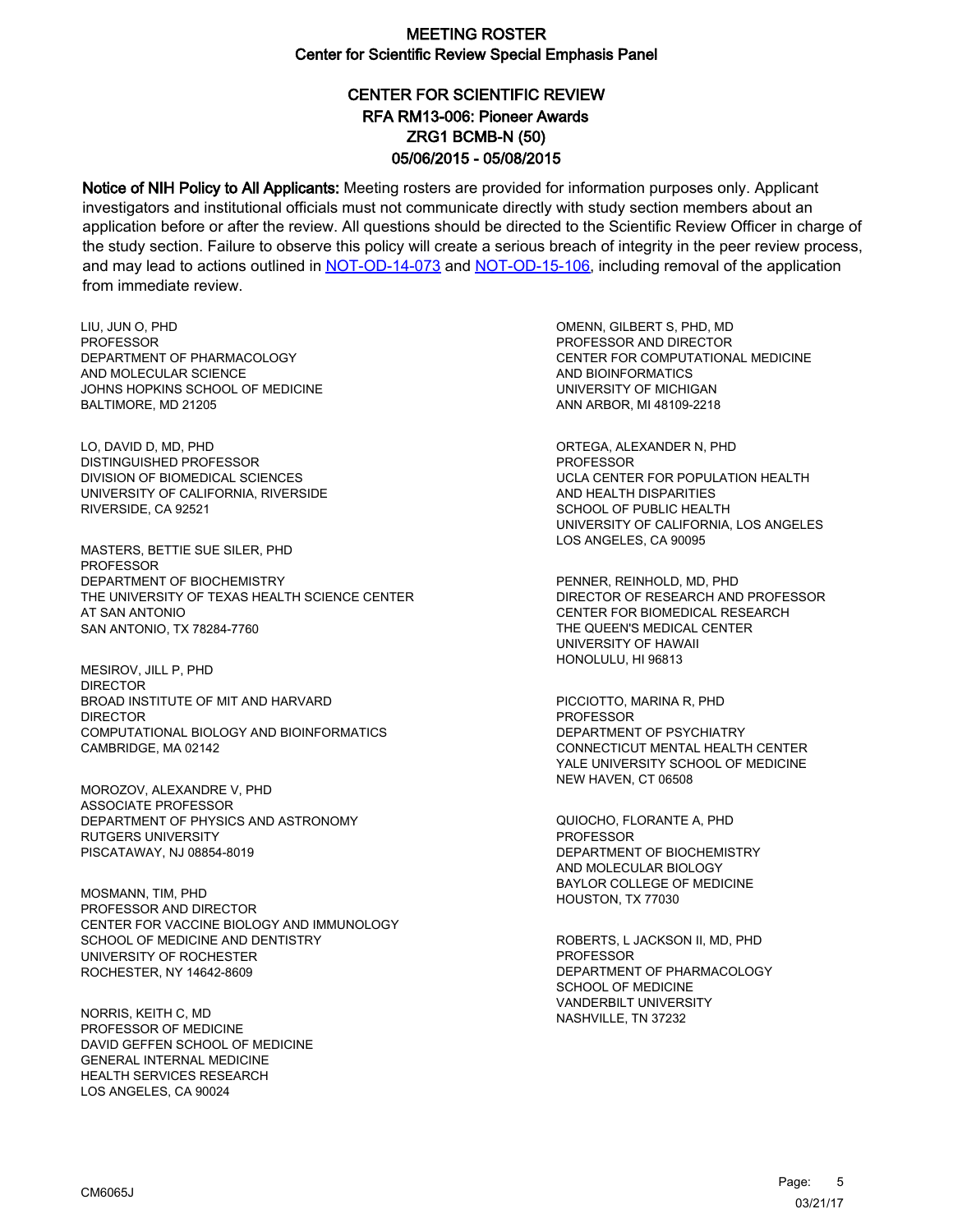# CENTER FOR SCIENTIFIC REVIEW ZRG1 BCMB-N (50) 05/06/2015 - 05/08/2015 RFA RM13-006: Pioneer Awards

Notice of NIH Policy to All Applicants: Meeting rosters are provided for information purposes only. Applicant investigators and institutional officials must not communicate directly with study section members about an application before or after the review. All questions should be directed to the Scientific Review Officer in charge of the study section. Failure to observe this policy will create a serious breach of integrity in the peer review process, and may lead to actions outlined in [NOT-OD-14-073](https://grants.nih.gov/grants/guide/notice-files/NOT-OD-14-073.html) and [NOT-OD-15-106,](https://grants.nih.gov/grants/guide/notice-files/NOT-OD-15-106.html) including removal of the application from immediate review.

LIU, JUN O, PHD PROFESSOR DEPARTMENT OF PHARMACOLOGY AND MOLECULAR SCIENCE JOHNS HOPKINS SCHOOL OF MEDICINE BALTIMORE, MD 21205

LO, DAVID D, MD, PHD DISTINGUISHED PROFESSOR DIVISION OF BIOMEDICAL SCIENCES UNIVERSITY OF CALIFORNIA, RIVERSIDE RIVERSIDE, CA 92521

MASTERS, BETTIE SUE SILER, PHD PROFESSOR DEPARTMENT OF BIOCHEMISTRY THE UNIVERSITY OF TEXAS HEALTH SCIENCE CENTER AT SAN ANTONIO SAN ANTONIO, TX 78284-7760

MESIROV, JILL P, PHD DIRECTOR BROAD INSTITUTE OF MIT AND HARVARD DIRECTOR COMPUTATIONAL BIOLOGY AND BIOINFORMATICS CAMBRIDGE, MA 02142

MOROZOV, ALEXANDRE V, PHD ASSOCIATE PROFESSOR DEPARTMENT OF PHYSICS AND ASTRONOMY RUTGERS UNIVERSITY PISCATAWAY, NJ 08854-8019

MOSMANN, TIM, PHD PROFESSOR AND DIRECTOR CENTER FOR VACCINE BIOLOGY AND IMMUNOLOGY SCHOOL OF MEDICINE AND DENTISTRY UNIVERSITY OF ROCHESTER ROCHESTER, NY 14642-8609

NORRIS, KEITH C, MD PROFESSOR OF MEDICINE DAVID GEFFEN SCHOOL OF MEDICINE GENERAL INTERNAL MEDICINE HEALTH SERVICES RESEARCH LOS ANGELES, CA 90024

OMENN, GILBERT S, PHD, MD PROFESSOR AND DIRECTOR CENTER FOR COMPUTATIONAL MEDICINE AND BIOINFORMATICS UNIVERSITY OF MICHIGAN ANN ARBOR, MI 48109-2218

ORTEGA, ALEXANDER N, PHD PROFESSOR UCLA CENTER FOR POPULATION HEALTH AND HEALTH DISPARITIES SCHOOL OF PUBLIC HEALTH UNIVERSITY OF CALIFORNIA, LOS ANGELES LOS ANGELES, CA 90095

PENNER, REINHOLD, MD, PHD DIRECTOR OF RESEARCH AND PROFESSOR CENTER FOR BIOMEDICAL RESEARCH THE QUEEN'S MEDICAL CENTER UNIVERSITY OF HAWAII HONOLULU, HI 96813

PICCIOTTO, MARINA R, PHD PROFESSOR DEPARTMENT OF PSYCHIATRY CONNECTICUT MENTAL HEALTH CENTER YALE UNIVERSITY SCHOOL OF MEDICINE NEW HAVEN, CT 06508

QUIOCHO, FLORANTE A, PHD PROFESSOR DEPARTMENT OF BIOCHEMISTRY AND MOLECULAR BIOLOGY BAYLOR COLLEGE OF MEDICINE HOUSTON, TX 77030

ROBERTS, L JACKSON II, MD, PHD PROFESSOR DEPARTMENT OF PHARMACOLOGY SCHOOL OF MEDICINE VANDERBILT UNIVERSITY NASHVILLE, TN 37232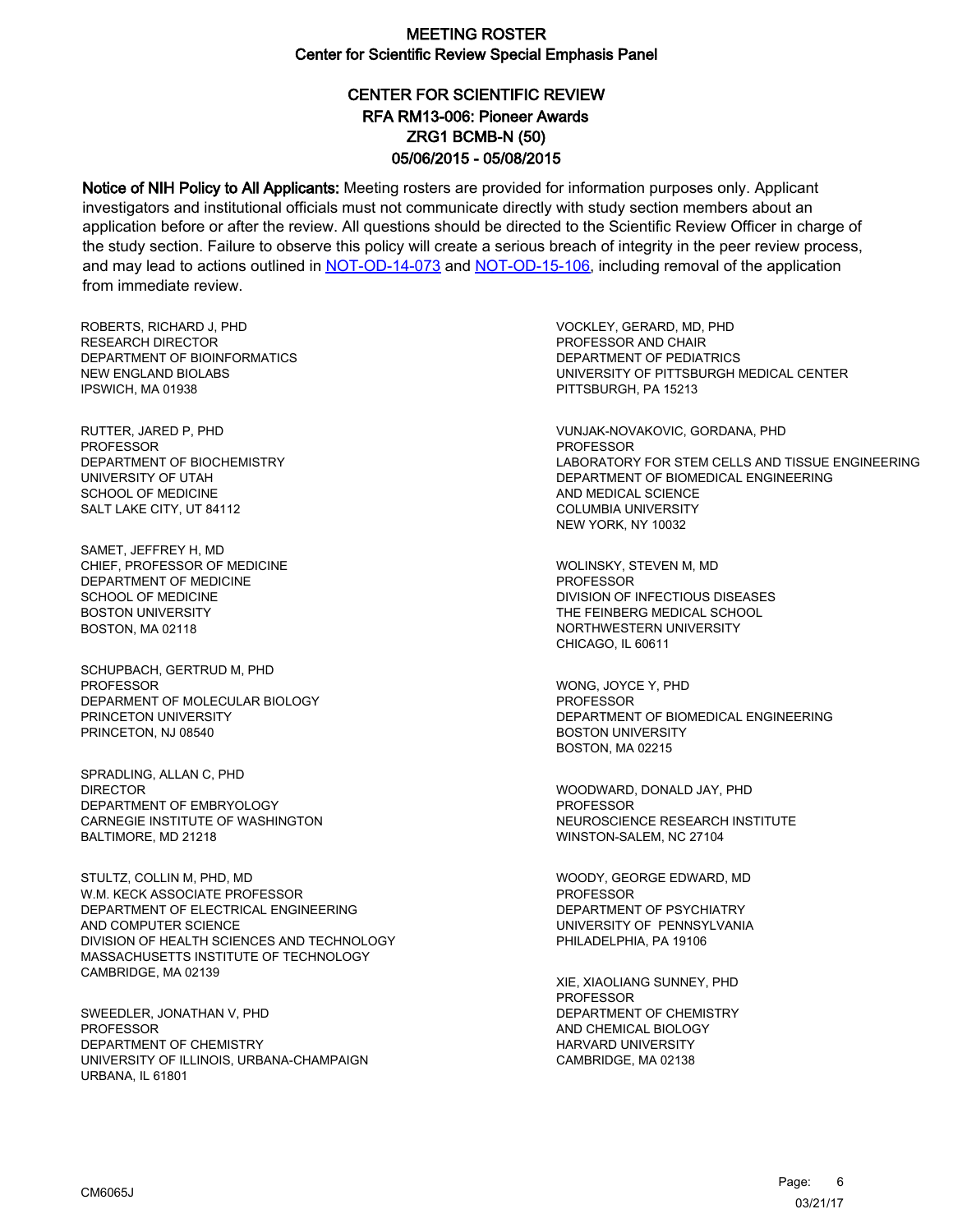# CENTER FOR SCIENTIFIC REVIEW ZRG1 BCMB-N (50) 05/06/2015 - 05/08/2015 RFA RM13-006: Pioneer Awards

Notice of NIH Policy to All Applicants: Meeting rosters are provided for information purposes only. Applicant investigators and institutional officials must not communicate directly with study section members about an application before or after the review. All questions should be directed to the Scientific Review Officer in charge of the study section. Failure to observe this policy will create a serious breach of integrity in the peer review process, and may lead to actions outlined in [NOT-OD-14-073](https://grants.nih.gov/grants/guide/notice-files/NOT-OD-14-073.html) and [NOT-OD-15-106,](https://grants.nih.gov/grants/guide/notice-files/NOT-OD-15-106.html) including removal of the application from immediate review.

ROBERTS, RICHARD J, PHD RESEARCH DIRECTOR DEPARTMENT OF BIOINFORMATICS NEW ENGLAND BIOLABS IPSWICH, MA 01938

RUTTER, JARED P, PHD PROFESSOR DEPARTMENT OF BIOCHEMISTRY UNIVERSITY OF UTAH SCHOOL OF MEDICINE SALT LAKE CITY, UT 84112

SAMET, JEFFREY H, MD CHIEF, PROFESSOR OF MEDICINE DEPARTMENT OF MEDICINE SCHOOL OF MEDICINE BOSTON UNIVERSITY BOSTON, MA 02118

SCHUPBACH, GERTRUD M, PHD PROFESSOR DEPARMENT OF MOLECULAR BIOLOGY PRINCETON UNIVERSITY PRINCETON, NJ 08540

SPRADLING, ALLAN C, PHD DIRECTOR DEPARTMENT OF EMBRYOLOGY CARNEGIE INSTITUTE OF WASHINGTON BALTIMORE, MD 21218

STULTZ, COLLIN M, PHD, MD W.M. KECK ASSOCIATE PROFESSOR DEPARTMENT OF ELECTRICAL ENGINEERING AND COMPUTER SCIENCE DIVISION OF HEALTH SCIENCES AND TECHNOLOGY MASSACHUSETTS INSTITUTE OF TECHNOLOGY CAMBRIDGE, MA 02139

SWEEDLER, JONATHAN V, PHD PROFESSOR DEPARTMENT OF CHEMISTRY UNIVERSITY OF ILLINOIS, URBANA-CHAMPAIGN URBANA, IL 61801

VOCKLEY, GERARD, MD, PHD PROFESSOR AND CHAIR DEPARTMENT OF PEDIATRICS UNIVERSITY OF PITTSBURGH MEDICAL CENTER PITTSBURGH, PA 15213

VUNJAK-NOVAKOVIC, GORDANA, PHD PROFESSOR LABORATORY FOR STEM CELLS AND TISSUE ENGINEERING DEPARTMENT OF BIOMEDICAL ENGINEERING AND MEDICAL SCIENCE COLUMBIA UNIVERSITY NEW YORK, NY 10032

WOLINSKY, STEVEN M, MD **PROFESSOR** DIVISION OF INFECTIOUS DISEASES THE FEINBERG MEDICAL SCHOOL NORTHWESTERN UNIVERSITY CHICAGO, IL 60611

WONG, JOYCE Y, PHD **PROFESSOR** DEPARTMENT OF BIOMEDICAL ENGINEERING BOSTON UNIVERSITY BOSTON, MA 02215

WOODWARD, DONALD JAY, PHD PROFESSOR NEUROSCIENCE RESEARCH INSTITUTE WINSTON-SALEM, NC 27104

WOODY, GEORGE EDWARD, MD PROFESSOR DEPARTMENT OF PSYCHIATRY UNIVERSITY OF PENNSYLVANIA PHILADELPHIA, PA 19106

XIE, XIAOLIANG SUNNEY, PHD PROFESSOR DEPARTMENT OF CHEMISTRY AND CHEMICAL BIOLOGY HARVARD UNIVERSITY CAMBRIDGE, MA 02138